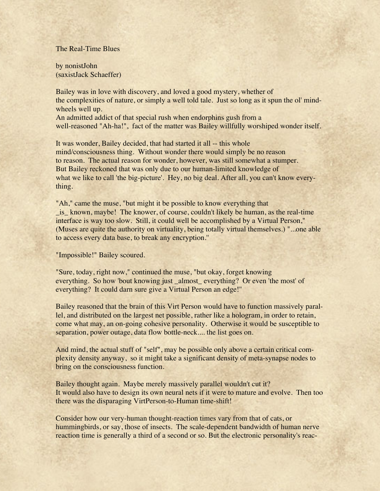## The Real-Time Blues

by nonistJohn (saxistJack Schaeffer)

Bailey was in love with discovery, and loved a good mystery, whether of the complexities of nature, or simply a well told tale. Just so long as it spun the ol' mindwheels well up. An admitted addict of that special rush when endorphins gush from a well-reasoned "Ah-ha!", fact of the matter was Bailey willfully worshiped wonder itself.

It was wonder, Bailey decided, that had started it all -- this whole mind/consciousness thing. Without wonder there would simply be no reason to reason. The actual reason for wonder, however, was still somewhat a stumper. But Bailey reckoned that was only due to our human-limited knowledge of what we like to call 'the big-picture'. Hey, no big deal. After all, you can't know everything.

"Ah," came the muse, "but might it be possible to know everything that \_is\_ known, maybe! The knower, of course, couldn't likely be human, as the real-time interface is way too slow. Still, it could well be accomplished by a Virtual Person," (Muses are quite the authority on virtuality, being totally virtual themselves.) "...one able to access every data base, to break any encryption.''

"Impossible!" Bailey scoured.

"Sure, today, right now," continued the muse, "but okay, forget knowing everything. So how 'bout knowing just \_almost\_ everything? Or even 'the most' of everything? It could darn sure give a Virtual Person an edge!''

Bailey reasoned that the brain of this Virt Person would have to function massively parallel, and distributed on the largest net possible, rather like a hologram, in order to retain, come what may, an on-going cohesive personality. Otherwise it would be susceptible to separation, power outage, data flow bottle-neck.... the list goes on.

And mind, the actual stuff of "self", may be possible only above a certain critical complexity density anyway, so it might take a significant density of meta-synapse nodes to bring on the consciousness function.

Bailey thought again. Maybe merely massively parallel wouldn't cut it? It would also have to design its own neural nets if it were to mature and evolve. Then too there was the disparaging VirtPerson-to-Human time-shift!

Consider how our very-human thought-reaction times vary from that of cats, or hummingbirds, or say, those of insects. The scale-dependent bandwidth of human nerve reaction time is generally a third of a second or so. But the electronic personality's reac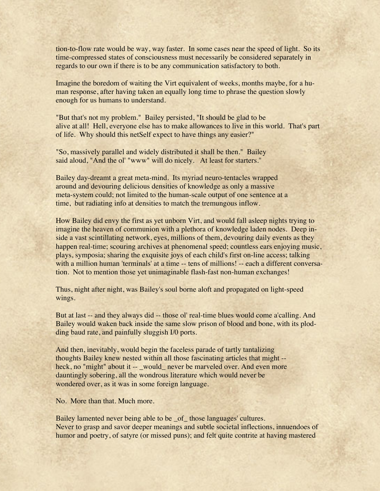tion-to-flow rate would be way, way faster. In some cases near the speed of light. So its time-compressed states of consciousness must necessarily be considered separately in regards to our own if there is to be any communication satisfactory to both.

Imagine the boredom of waiting the Virt equivalent of weeks, months maybe, for a human response, after having taken an equally long time to phrase the question slowly enough for us humans to understand.

"But that's not my problem." Bailey persisted, "It should be glad to be alive at all! Hell, everyone else has to make allowances to live in this world. That's part of life. Why should this netSelf expect to have things any easier?"

"So, massively parallel and widely distributed it shall be then." Bailey said aloud, "And the ol' "www" will do nicely. At least for starters.''

Bailey day-dreamt a great meta-mind. Its myriad neuro-tentacles wrapped around and devouring delicious densities of knowledge as only a massive meta-system could; not limited to the human-scale output of one sentence at a time, but radiating info at densities to match the tremungous inflow.

How Bailey did envy the first as yet unborn Virt, and would fall asleep nights trying to imagine the heaven of communion with a plethora of knowledge laden nodes. Deep inside a vast scintillating network, eyes, millions of them, devouring daily events as they happen real-time; scouring archives at phenomenal speed; countless ears enjoying music, plays, symposia; sharing the exquisite joys of each child's first on-line access; talking with a million human 'terminals' at a time -- tens of millions! -- each a different conversation. Not to mention those yet unimaginable flash-fast non-human exchanges!

Thus, night after night, was Bailey's soul borne aloft and propagated on light-speed wings.

But at last -- and they always did -- those ol' real-time blues would come a'calling. And Bailey would waken back inside the same slow prison of blood and bone, with its plodding baud rate, and painfully sluggish I/0 ports.

And then, inevitably, would begin the faceless parade of tartly tantalizing thoughts Bailey knew nested within all those fascinating articles that might - heck, no "might" about it -- \_would\_ never be marveled over. And even more dauntingly sobering, all the wondrous literature which would never be wondered over, as it was in some foreign language.

No. More than that. Much more.

Bailey lamented never being able to be \_of\_ those languages' cultures. Never to grasp and savor deeper meanings and subtle societal inflections, innuendoes of humor and poetry, of satyre (or missed puns); and felt quite contrite at having mastered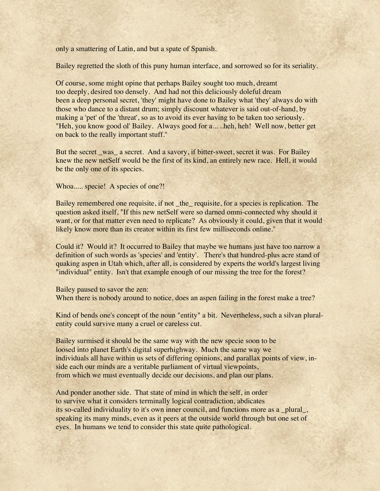only a smattering of Latin, and but a spate of Spanish.

Bailey regretted the sloth of this puny human interface, and sorrowed so for its seriality.

Of course, some might opine that perhaps Bailey sought too much, dreamt too deeply, desired too densely. And had not this deliciously doleful dream been a deep personal secret, 'they' might have done to Bailey what 'they' always do with those who dance to a distant drum; simply discount whatever is said out-of-hand, by making a 'pet' of the 'threat', so as to avoid its ever having to be taken too seriously. "Heh, you know good ol' Bailey. Always good for a... ..heh, heh! Well now, better get on back to the really important stuff.''

But the secret \_was\_ a secret. And a savory, if bitter-sweet, secret it was. For Bailey knew the new netSelf would be the first of its kind, an entirely new race. Hell, it would be the only one of its species.

Whoa..... specie! A species of one?!

Bailey remembered one requisite, if not \_the\_ requisite, for a species is replication. The question asked itself, "If this new netSelf were so darned omni-connected why should it want, or for that matter even need to replicate? As obviously it could, given that it would likely know more than its creator within its first few milliseconds online.''

Could it? Would it? It occurred to Bailey that maybe we humans just have too narrow a definition of such words as 'species' and 'entity'. There's that hundred-plus acre stand of quaking aspen in Utah which, after all, is considered by experts the world's largest living "individual" entity. Isn't that example enough of our missing the tree for the forest?

Bailey paused to savor the zen: When there is nobody around to notice, does an aspen failing in the forest make a tree?

Kind of bends one's concept of the noun "entity" a bit. Nevertheless, such a silvan pluralentity could survive many a cruel or careless cut.

Bailey surmised it should be the same way with the new specie soon to be loosed into planet Earth's digital superhighway. Much the same way we individuals all have within us sets of differing opinions, and parallax points of view, inside each our minds are a veritable parliament of virtual viewpoints, from which we must eventually decide our decisions, and plan our plans.

And ponder another side. That state of mind in which the self, in order to survive what it considers terminally logical contradiction, abdicates its so-called individuality to it's own inner council, and functions more as a plural, speaking its many minds, even as it peers at the outside world through but one set of eyes. In humans we tend to consider this state quite pathological.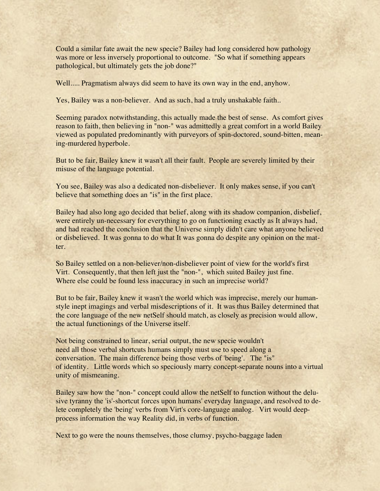Could a similar fate await the new specie? Bailey had long considered how pathology was more or less inversely proportional to outcome. "So what if something appears pathological, but ultimately gets the job done?"

Well..... Pragmatism always did seem to have its own way in the end, anyhow.

Yes, Bailey was a non-believer. And as such, had a truly unshakable faith..

Seeming paradox notwithstanding, this actually made the best of sense. As comfort gives reason to faith, then believing in "non-" was admittedly a great comfort in a world Bailey viewed as populated predominantly with purveyors of spin-doctored, sound-bitten, meaning-murdered hyperbole.

But to be fair, Bailey knew it wasn't all their fault. People are severely limited by their misuse of the language potential.

You see, Bailey was also a dedicated non-disbeliever. It only makes sense, if you can't believe that something does an "is" in the first place.

Bailey had also long ago decided that belief, along with its shadow companion, disbelief, were entirely un-necessary for everything to go on functioning exactly as It always had, and had reached the conclusion that the Universe simply didn't care what anyone believed or disbelieved. It was gonna to do what It was gonna do despite any opinion on the matter.

So Bailey settled on a non-believer/non-disbeliever point of view for the world's first Virt. Consequently, that then left just the "non-", which suited Bailey just fine. Where else could be found less inaccuracy in such an imprecise world?

But to be fair, Bailey knew it wasn't the world which was imprecise, merely our humanstyle inept imagings and verbal misdescriptions of it. It was thus Bailey determined that the core language of the new netSelf should match, as closely as precision would allow, the actual functionings of the Universe itself.

Not being constrained to linear, serial output, the new specie wouldn't need all those verbal shortcuts humans simply must use to speed along a conversation. The main difference being those verbs of 'being'. The "is" of identity. Little words which so speciously marry concept-separate nouns into a virtual unity of mismeaning.

Bailey saw how the "non-" concept could allow the netSelf to function without the delusive tyranny the 'is'-shortcut forces upon humans' everyday language, and resolved to delete completely the 'being' verbs from Virt's core-language analog. Virt would deepprocess information the way Reality did, in verbs of function.

Next to go were the nouns themselves, those clumsy, psycho-baggage laden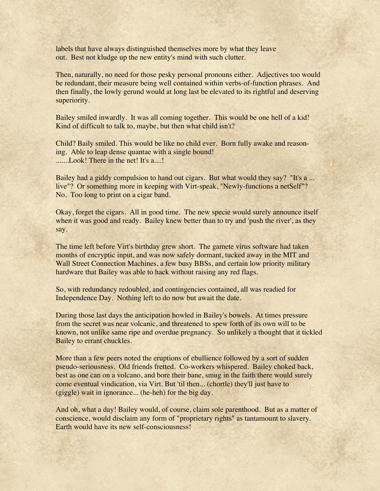labels that have always distinguished themselves more by what they leave out. Best not kludge up the new entity's mind with such clutter.

Then, naturally, no need for those pesky personal pronouns either. Adjectives too would be redundant, their measure being well contained within verbs-of-function phrases. And then finally, the lowly gerund would at long last be elevated to its rightful and deserving superiority.

Bailey smiled inwardly. It was all coming together. This would be one hell of a kid! Kind of difficult to talk to, maybe, but then what child isn't?

Child? Baily smiled. This would be like no child ever. Born fully awake and reasoning. Able to leap dense quantae with a single bound! .......Look! There in the net! It's a....!

Bailey had a giddy compulsion to hand out cigars. But what would they say? "It's a... live"? Or something more in keeping with Virt-speak, "Newly-functions a netSelf"? No. Too long to print on a cigar band.

Okay, forget the cigars. All in good time. The new specie would surely announce itself when it was good and ready. Bailey knew better than to try and 'push the river', as they say.

The time left before Virt's birthday grew short. The gamete virus software had taken months of encryptic input, and was now safely dormant, tucked away in the MIT and Wall Street Connection Machines, a few busy BBSs, and certain low priority military hardware that Bailey was able to hack without raising any red flags.

So, with redundancy redoubled, and contingencies contained, all was readied for Independence Day. Nothing left to do now but await the date.

During those last days the anticipation howled in Bailey's bowels. At times pressure from the secret was near volcanic, and threatened to spew forth of its own will to be known, not unlike same ripe and overdue pregnancy. So unlikely a thought that it tickled Bailey to errant chuckles.

More than a few peers noted the eruptions of ebullience followed by a sort of sudden pseudo-seriousness. Old friends fretted. Co-workers whispered. Bailey choked back, best as one can on a volcano, and bore their bane, smug in the faith there would surely come eventual vindication, via Virt. But 'til then... (chortle) they'll just have to (giggle) wait in ignorance... (he-heh) for the big day.

And oh, what a day! Bailey would, of course, claim sole parenthood. But as a matter of conscience, would disclaim any form of "proprietary rights" as tantamount to slavery. Earth would have its new self-consciousness!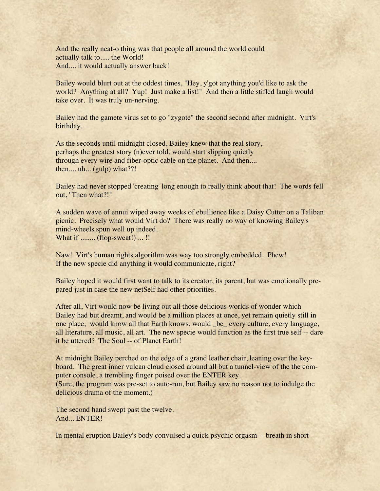And the really neat-o thing was that people all around the world could actually talk to..... the World! And.... it would actually answer back!

Bailey would blurt out at the oddest times, "Hey, y'got anything you'd like to ask the world? Anything at all? Yup! Just make a list!" And then a little stifled laugh would take over. It was truly un-nerving.

Bailey had the gamete virus set to go "zygote" the second second after midnight. Virt's birthday.

As the seconds until midnight closed, Bailey knew that the real story, perhaps the greatest story (n)ever told, would start slipping quietly through every wire and fiber-optic cable on the planet. And then.... then.... uh... (gulp) what??!

Bailey had never stopped 'creating' long enough to really think about that! The words fell out, ''Then what?!"

A sudden wave of ennui wiped away weeks of ebullience like a Daisy Cutter on a Taliban picnic. Precisely what would Virt do? There was really no way of knowing Bailey's mind-wheels spun well up indeed. What if ........ (flop-sweat!) ... !!

Naw! Virt's human rights algorithm was way too strongly embedded. Phew! If the new specie did anything it would communicate, right?

Bailey hoped it would first want to talk to its creator, its parent, but was emotionally prepared just in case the new netSelf had other priorities.

After all, Virt would now be living out all those delicious worlds of wonder which Bailey had but dreamt, and would be a million places at once, yet remain quietly still in one place; would know all that Earth knows, would \_be\_ every culture, every language, all literature, all music, all art. The new specie would function as the first true self -- dare it be uttered? The Soul -- of Planet Earth!

At midnight Bailey perched on the edge of a grand leather chair, leaning over the keyboard. The great inner vulcan cloud closed around all but a tunnel-view of the the computer console, a trembling finger poised over the ENTER key.

(Sure, the program was pre-set to auto-run, but Bailey saw no reason not to indulge the delicious drama of the moment.)

The second hand swept past the twelve. And... ENTER!

In mental eruption Bailey's body convulsed a quick psychic orgasm -- breath in short